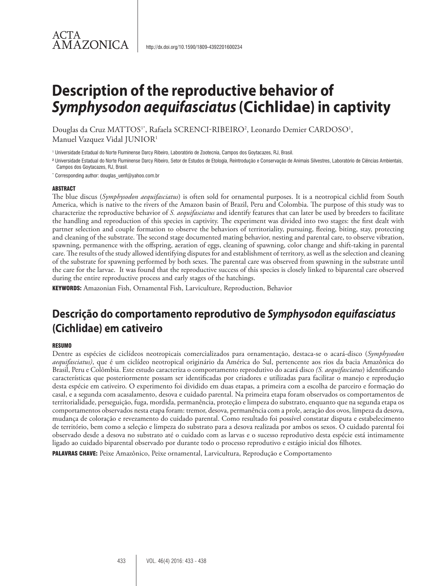## ACTA **AMAZONICA**

# **Description of the reproductive behavior of**  *Symphysodon aequifasciatus* **(Cichlidae) in captivity**

Douglas da Cruz MATTOS<sup>1\*</sup>, Rafaela SCRENCI-RIBEIRO<sup>2</sup>, Leonardo Demier CARDOSO<sup>1</sup>, Manuel Vazquez Vidal JUNIOR1

1 Universidade Estadual do Norte Fluminense Darcy Ribeiro, Laboratório de Zootecnia, Campos dos Goytacazes, RJ, Brasil.

**<sup>2</sup>** Universidade Estadual do Norte Fluminense Darcy Ribeiro, Setor de Estudos de Etologia, Reintrodução e Conservação de Animais Silvestres, Laboratório de Ciências Ambientais, Campos dos Goytacazes, RJ, Brasil.

\* Corresponding author: douglas\_uenf@yahoo.com.br

#### ABSTRACT

The blue discus (*Symphysodon aequifasciatus*) is often sold for ornamental purposes. It is a neotropical cichlid from South America, which is native to the rivers of the Amazon basin of Brazil, Peru and Colombia. The purpose of this study was to characterize the reproductive behavior of *S. aequifasciatus* and identify features that can later be used by breeders to facilitate the handling and reproduction of this species in captivity. The experiment was divided into two stages: the first dealt with partner selection and couple formation to observe the behaviors of territoriality, pursuing, fleeing, biting, stay, protecting and cleaning of the substrate. The second stage documented mating behavior, nesting and parental care, to observe vibration, spawning, permanence with the offspring, aeration of eggs, cleaning of spawning, color change and shift-taking in parental care. The results of the study allowed identifying disputes for and establishment of territory, as well as the selection and cleaning of the substrate for spawning performed by both sexes. The parental care was observed from spawning in the substrate until the care for the larvae. It was found that the reproductive success of this species is closely linked to biparental care observed during the entire reproductive process and early stages of the hatchings.

KEYWORDS: Amazonian Fish, Ornamental Fish, Larviculture, Reproduction, Behavior

# **Descrição do comportamento reprodutivo de** *Symphysodon equifasciatus*  **(Cichlidae) em cativeiro**

#### **RESUMO**

Dentre as espécies de ciclídeos neotropicais comercializados para ornamentação, destaca-se o acará-disco (*Symphysodon aequifasciatus)*, que é um ciclídeo neotropical originário da América do Sul, pertencente aos rios da bacia Amazônica do Brasil, Peru e Colômbia. Este estudo caracteriza o comportamento reprodutivo do acará disco *(S. aequifasciatus*) identificando características que posteriormente possam ser identificadas por criadores e utilizadas para facilitar o manejo e reprodução desta espécie em cativeiro. O experimento foi dividido em duas etapas, a primeira com a escolha de parceiro e formação do casal, e a segunda com acasalamento, desova e cuidado parental. Na primeira etapa foram observados os comportamentos de territorialidade, perseguição, fuga, mordida, permanência, proteção e limpeza do substrato, enquanto que na segunda etapa os comportamentos observados nesta etapa foram: tremor, desova, permanência com a prole, aeração dos ovos, limpeza da desova, mudança de coloração e revezamento do cuidado parental. Como resultado foi possível constatar disputa e estabelecimento de território, bem como a seleção e limpeza do substrato para a desova realizada por ambos os sexos. O cuidado parental foi observado desde a desova no substrato até o cuidado com as larvas e o sucesso reprodutivo desta espécie está intimamente ligado ao cuidado biparental observado por durante todo o processo reprodutivo e estágio inicial dos filhotes.

PALAVRAS CHAVE: Peixe Amazônico, Peixe ornamental, Larvicultura, Reprodução e Comportamento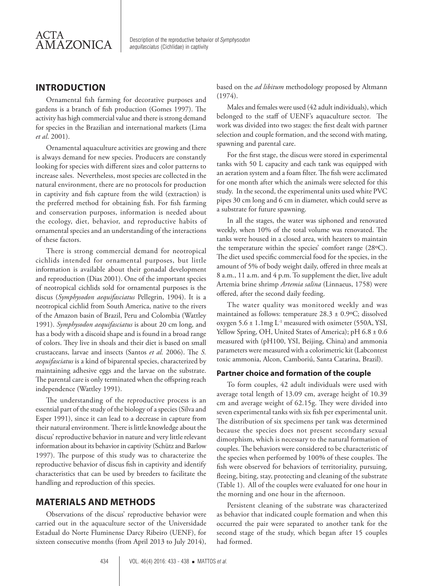

Description of the reproductive behavior of *Symphysodon aequifasciatus* (Cichlidae) in captivity

#### **INTRODUCTION**

Ornamental fish farming for decorative purposes and gardens is a branch of fish production (Gomes 1997). The activity has high commercial value and there is strong demand for species in the Brazilian and international markets (Lima *et al*. 2001).

Ornamental aquaculture activities are growing and there is always demand for new species. Producers are constantly looking for species with different sizes and color patterns to increase sales. Nevertheless, most species are collected in the natural environment, there are no protocols for production in captivity and fish capture from the wild (extraction) is the preferred method for obtaining fish. For fish farming and conservation purposes, information is needed about the ecology, diet, behavior, and reproductive habits of ornamental species and an understanding of the interactions of these factors.

There is strong commercial demand for neotropical cichlids intended for ornamental purposes, but little information is available about their gonadal development and reproduction (Dias 2001). One of the important species of neotropical cichlids sold for ornamental purposes is the discus (*Symphysodon aequifasciatus* Pellegrin, 1904). It is a neotropical cichlid from South America, native to the rivers of the Amazon basin of Brazil, Peru and Colombia (Wattley 1991). *Symphysodon aequifasciatus* is about 20 cm long, and has a body with a discoid shape and is found in a broad range of colors. They live in shoals and their diet is based on small crustaceans, larvae and insects (Santos *et al.* 2006). The *S. aequifasciatus* is a kind of biparental species, characterized by maintaining adhesive eggs and the larvae on the substrate. The parental care is only terminated when the offspring reach independence (Wattley 1991).

The understanding of the reproductive process is an essential part of the study of the biology of a species (Silva and Esper 1991), since it can lead to a decrease in capture from their natural environment. There is little knowledge about the discus' reproductive behavior in nature and very little relevant information about its behavior in captivity (Schütz and Barlow 1997). The purpose of this study was to characterize the reproductive behavior of discus fish in captivity and identify characteristics that can be used by breeders to facilitate the handling and reproduction of this species.

#### **MATERIALS AND METHODS**

Observations of the discus' reproductive behavior were carried out in the aquaculture sector of the Universidade Estadual do Norte Fluminense Darcy Ribeiro (UENF), for sixteen consecutive months (from April 2013 to July 2014),

based on the *ad libitum* methodology proposed by Altmann (1974).

Males and females were used (42 adult individuals), which belonged to the staff of UENF's aquaculture sector. The work was divided into two stages: the first dealt with partner selection and couple formation, and the second with mating, spawning and parental care.

For the first stage, the discus were stored in experimental tanks with 50 L capacity and each tank was equipped with an aeration system and a foam filter. The fish were acclimated for one month after which the animals were selected for this study. In the second, the experimental units used white PVC pipes 30 cm long and 6 cm in diameter, which could serve as a substrate for future spawning.

In all the stages, the water was siphoned and renovated weekly, when 10% of the total volume was renovated. The tanks were housed in a closed area, with heaters to maintain the temperature within the species' comfort range (28ºC). The diet used specific commercial food for the species, in the amount of 5% of body weight daily, offered in three meals at 8 a.m., 11 a.m. and 4 p.m. To supplement the diet, live adult Artemia brine shrimp *Artemia salina* (Linnaeus, 1758) were offered, after the second daily feeding.

The water quality was monitored weekly and was maintained as follows: temperature  $28.3 \pm 0.9$ °C; dissolved oxygen  $5.6 \pm 1.1$  mg  $L^{-1}$  measured with oximeter (550A, YSI, Yellow Spring, OH, United States of America); pH 6.8 ± 0.6 measured with (pH100, YSI, Beijing, China) and ammonia parameters were measured with a colorimetric kit (Labcontest toxic ammonia, Alcon, Camboriú, Santa Catarina, Brazil).

#### **Partner choice and formation of the couple**

To form couples, 42 adult individuals were used with average total length of 13.09 cm, average height of 10.39 cm and average weight of 62.15g. They were divided into seven experimental tanks with six fish per experimental unit. The distribution of six specimens per tank was determined because the species does not present secondary sexual dimorphism, which is necessary to the natural formation of couples. The behaviors were considered to be characteristic of the species when performed by 100% of these couples. The fish were observed for behaviors of territoriality, pursuing, fleeing, biting, stay, protecting and cleaning of the substrate (Table 1). All of the couples were evaluated for one hour in the morning and one hour in the afternoon.

Persistent cleaning of the substrate was characterized as behavior that indicated couple formation and when this occurred the pair were separated to another tank for the second stage of the study, which began after 15 couples had formed.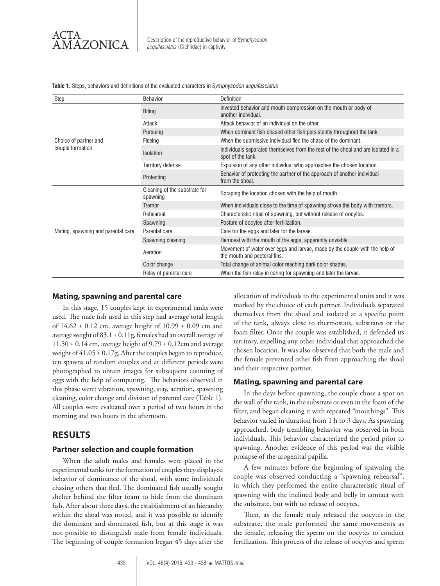ACTA

AMAZONICA Description of the reproductive behavior of *Symphysodon aequifasciatus* (Cichlidae) in captivity

| Step                                      | <b>Behavior</b>                           | Definition                                                                                                  |
|-------------------------------------------|-------------------------------------------|-------------------------------------------------------------------------------------------------------------|
| Choice of partner and<br>couple formation | <b>Biting</b>                             | Invested behavior and mouth compression on the mouth or body of<br>another individual.                      |
|                                           | Attack                                    | Attack behavior of an individual on the other.                                                              |
|                                           | Pursuing                                  | When dominant fish chased other fish persistently throughout the tank.                                      |
|                                           | Fleeing                                   | When the submissive individual fled the chase of the dominant.                                              |
|                                           | <b>Isolation</b>                          | Individuals separated themselves from the rest of the shoal and are isolated in a<br>spot of the tank.      |
|                                           | Territory defense                         | Expulsion of any other individual who approaches the chosen location.                                       |
|                                           | Protecting                                | Behavior of protecting the partner of the approach of another individual<br>from the shoal.                 |
| Mating, spawning and parental care        | Cleaning of the substrate for<br>spawning | Scraping the location chosen with the help of mouth.                                                        |
|                                           | Tremor                                    | When individuals close to the time of spawning strove the body with tremors.                                |
|                                           | Rehearsal                                 | Characteristic ritual of spawning, but without release of oocytes.                                          |
|                                           | Spawning                                  | Posture of oocytes after fertilization.                                                                     |
|                                           | Parental care                             | Care for the eggs and later for the larvae.                                                                 |
|                                           | Spawning cleaning                         | Removal with the mouth of the eggs, apparently unviable.                                                    |
|                                           | Aeration                                  | Movement of water over eggs and larvae, made by the couple with the help of<br>the mouth and pectoral fins. |
|                                           | Color change                              | Total change of animal color reaching dark color shades.                                                    |
|                                           | Relay of parental care                    | When the fish relay in caring for spawning and later the larvae.                                            |

**Table 1.** Steps, behaviors and definitions of the evaluated characters in *Symphysodon aequifasciatus*

#### **Mating, spawning and parental care**

In this stage, 15 couples kept in experimental tanks were used. The male fish used in this step had average total length of  $14.62 \pm 0.12$  cm, average height of  $10.99 \pm 0.09$  cm and average weight of  $83.1 \pm 0.11$ g, females had an overall average of  $11.50 \pm 0.14$  cm, average height of  $9.79 \pm 0.12$ cm and average weight of  $41.05 \pm 0.17$ g. After the couples began to reproduce, ten spawns of random couples and at different periods were photographed to obtain images for subsequent counting of eggs with the help of computing. The behaviors observed in this phase were: vibration, spawning, stay, aeration, spawning cleaning, color change and division of parental care (Table 1). All couples were evaluated over a period of two hours in the morning and two hours in the afternoon.

#### **RESULTS**

#### **Partner selection and couple formation**

When the adult males and females were placed in the experimental tanks for the formation of couples they displayed behavior of dominance of the shoal, with some individuals chasing others that fled. The dominated fish usually sought shelter behind the filter foam to hide from the dominant fish. After about three days, the establishment of an hierarchy within the shoal was noted, and it was possible to identify the dominant and dominated fish, but at this stage it was not possible to distinguish male from female individuals. The beginning of couple formation began 45 days after the

allocation of individuals to the experimental units and it was marked by the choice of each partner. Individuals separated themselves from the shoal and isolated at a specific point of the tank, always close to thermostats, substrates or the foam filter. Once the couple was established, it defended its territory, expelling any other individual that approached the chosen location. It was also observed that both the male and the female prevented other fish from approaching the shoal and their respective partner.

#### **Mating, spawning and parental care**

In the days before spawning, the couple chose a spot on the wall of the tank, in the substrate or even in the foam of the filter, and began cleaning it with repeated "mouthings". This behavior varied in duration from 1 h to 3 days. As spawning approached, body trembling behavior was observed in both individuals. This behavior characterized the period prior to spawning. Another evidence of this period was the visible prolapse of the urogenital papilla.

A few minutes before the beginning of spawning the couple was observed conducting a "spawning rehearsal", in which they performed the entire characteristic ritual of spawning with the inclined body and belly in contact with the substrate, but with no release of oocytes.

Then, as the female truly released the oocytes in the substrate, the male performed the same movements as the female, releasing the sperm on the oocytes to conduct fertilization. This process of the release of oocytes and sperm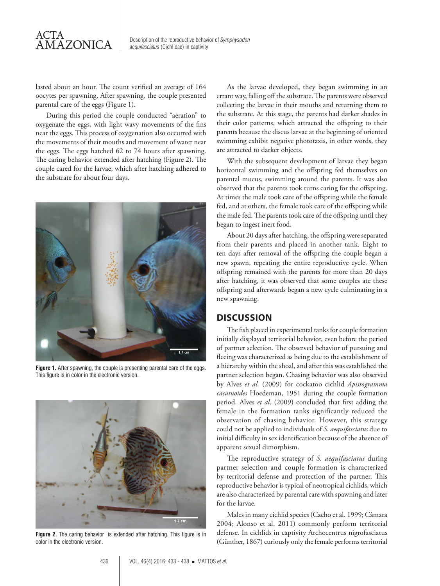Description of the reproductive behavior of *Symphysodon aequifasciatus* (Cichlidae) in captivity

lasted about an hour. The count verified an average of 164 oocytes per spawning. After spawning, the couple presented parental care of the eggs (Figure 1).

During this period the couple conducted "aeration" to oxygenate the eggs, with light wavy movements of the fins near the eggs. This process of oxygenation also occurred with the movements of their mouths and movement of water near the eggs. The eggs hatched 62 to 74 hours after spawning. The caring behavior extended after hatching (Figure 2). The couple cared for the larvae, which after hatching adhered to the substrate for about four days.



**Figure 1.** After spawning, the couple is presenting parental care of the eggs. This figure is in color in the electronic version.



**Figure 2.** The caring behavior is extended after hatching. This figure is in color in the electronic version.

As the larvae developed, they began swimming in an errant way, falling off the substrate. The parents were observed collecting the larvae in their mouths and returning them to the substrate. At this stage, the parents had darker shades in their color patterns, which attracted the offspring to their parents because the discus larvae at the beginning of oriented swimming exhibit negative phototaxis, in other words, they are attracted to darker objects.

With the subsequent development of larvae they began horizontal swimming and the offspring fed themselves on parental mucus, swimming around the parents. It was also observed that the parents took turns caring for the offspring. At times the male took care of the offspring while the female fed, and at others, the female took care of the offspring while the male fed. The parents took care of the offspring until they began to ingest inert food.

About 20 days after hatching, the offspring were separated from their parents and placed in another tank. Eight to ten days after removal of the offspring the couple began a new spawn, repeating the entire reproductive cycle. When offspring remained with the parents for more than 20 days after hatching, it was observed that some couples ate these offspring and afterwards began a new cycle culminating in a new spawning.

#### **DISCUSSION**

The fish placed in experimental tanks for couple formation initially displayed territorial behavior, even before the period of partner selection. The observed behavior of pursuing and fleeing was characterized as being due to the establishment of a hierarchy within the shoal, and after this was established the partner selection began. Chasing behavior was also observed by Alves *et al.* (2009) for cockatoo cichlid *Apistogramma cacatuoides* Hoedeman, 1951 during the couple formation period. Alves *et al*. (2009) concluded that first adding the female in the formation tanks significantly reduced the observation of chasing behavior. However, this strategy could not be applied to individuals of *S. aequifasciatus* due to initial difficulty in sex identification because of the absence of apparent sexual dimorphism.

The reproductive strategy of *S. aequifasciatus* during partner selection and couple formation is characterized by territorial defense and protection of the partner. This reproductive behavior is typical of neotropical cichlids, which are also characterized by parental care with spawning and later for the larvae.

Males in many cichlid species (Cacho et al. 1999; Câmara 2004; Alonso et al. 2011) commonly perform territorial defense. In cichlids in captivity Archocentrus nigrofasciatus (Günther, 1867) curiously only the female performs territorial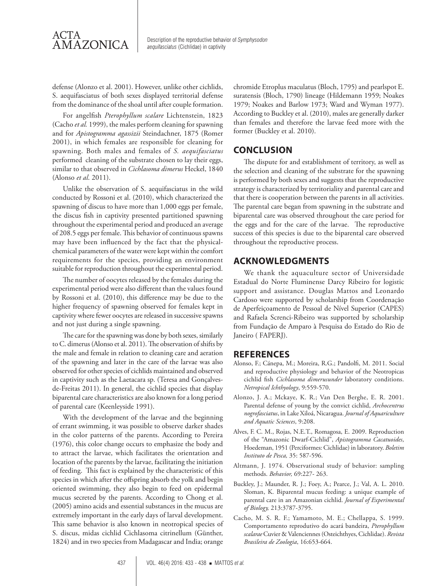

AMAZONICA Description of the reproductive behavior of *Symphysodon aequifasciatus* (Cichlidae) in captivity

defense (Alonzo et al. 2001). However, unlike other cichlids, S. aequifasciatus of both sexes displayed territorial defense from the dominance of the shoal until after couple formation.

For angelfish *Pterophyllum scalare* Lichtenstein, 1823 (Cacho *et al.* 1999), the males perform cleaning for spawning and for *Apistogramma agassizii* Steindachner, 1875 (Romer 2001), in which females are responsible for cleaning for spawning. Both males and females of *S. aequifasciatus* performed cleaning of the substrate chosen to lay their eggs, similar to that observed in *Cichlasoma dimerus* Heckel, 1840 (Alonso *et al*. 2011).

Unlike the observation of S. aequifasciatus in the wild conducted by Rossoni et al. (2010), which characterized the spawning of discus to have more than 1,000 eggs per female, the discus fish in captivity presented partitioned spawning throughout the experimental period and produced an average of 208.5 eggs per female. This behavior of continuous spawns may have been influenced by the fact that the physicalchemical parameters of the water were kept within the comfort requirements for the species, providing an environment suitable for reproduction throughout the experimental period.

The number of oocytes released by the females during the experimental period were also different than the values found by Rossoni et al. (2010), this difference may be due to the higher frequency of spawning observed for females kept in captivity where fewer oocytes are released in successive spawns and not just during a single spawning.

The care for the spawning was done by both sexes, similarly to C. dimerus (Alonso et al. 2011). The observation of shifts by the male and female in relation to cleaning care and aeration of the spawning and later in the care of the larvae was also observed for other species of cichlids maintained and observed in captivity such as the Laetacara sp. (Teresa and Gonçalvesde-Freitas 2011). In general, the cichlid species that display biparental care characteristics are also known for a long period of parental care (Keenleyside 1991).

With the development of the larvae and the beginning of errant swimming, it was possible to observe darker shades in the color patterns of the parents. According to Pereira (1976), this color change occurs to emphasize the body and to attract the larvae, which facilitates the orientation and location of the parents by the larvae, facilitating the initiation of feeding. This fact is explained by the characteristic of this species in which after the offspring absorb the yolk and begin oriented swimming, they also begin to feed on epidermal mucus secreted by the parents. According to Chong et al. (2005) amino acids and essential substances in the mucus are extremely important in the early days of larval development. This same behavior is also known in neotropical species of S. discus, midas cichlid Cichlasoma citrinellum (Günther, 1824) and in two species from Madagascar and India; orange

chromide Etroplus maculatus (Bloch, 1795) and pearlspot E. suratensis (Bloch, 1790) lineage (Hildemann 1959; Noakes 1979; Noakes and Barlow 1973; Ward and Wyman 1977). According to Buckley et al. (2010), males are generally darker than females and therefore the larvae feed more with the former (Buckley et al. 2010).

#### **CONCLUSION**

The dispute for and establishment of territory, as well as the selection and cleaning of the substrate for the spawning is performed by both sexes and suggests that the reproductive strategy is characterized by territoriality and parental care and that there is cooperation between the parents in all activities. The parental care began from spawning in the substrate and biparental care was observed throughout the care period for the eggs and for the care of the larvae. The reproductive success of this species is due to the biparental care observed throughout the reproductive process.

#### **ACKNOWLEDGMENTS**

We thank the aquaculture sector of Universidade Estadual do Norte Fluminense Darcy Ribeiro for logistic support and assistance. Douglas Mattos and Leonardo Cardoso were supported by scholarship from Coordenação de Aperfeiçoamento de Pessoal de Nível Superior (CAPES) and Rafaela Screnci-Ribeiro was supported by scholarship from Fundação de Amparo à Pesquisa do Estado do Rio de Janeiro ( FAPERJ).

#### **REFERENCES**

- Alonso, F.; Cánepa, M.; Moreira, R.G.; Pandolfi, M. 2011. Social and reproductive physiology and behavior of the Neotropicas cichlid fish *Cichlasoma dimerusunder* laboratory conditions. *Netropical Ichthyology*, 9:559-570.
- Alonzo, J. A.; Mckaye, K. R.; Van Den Berghe, E. R. 2001. Parental defense of young by the convict cichlid, *Archocentrus nogrofasciatus*, in Lake Xiloá, Nicaragua. *Journal of Aquariculture and Aquatic Sciences*, 9:208.
- Alves, F. C. M., Rojas, N.E.T., Romagosa, E. 2009. Reproduction of the "Amazonic Dwarf-Cichlid", *Apistogramma Cacatuoides*, Hoedeman, 1951 (Perciformes: Cichlidae) in laboratory. *Boletim Instituto de Pesca,* 35: 587-596.
- Altmann, J. 1974. Observational study of behavior: sampling methods. *Behavior,* 69:227- 263.
- Buckley, J.; Maunder, R. J.; Foey, A.; Pearce, J.; Val, A. L. 2010. Sloman, K. Biparental mucus feeding: a unique example of parental care in an Amazonian cichlid. *Journal of Experimental of Biology,* 213:3787-3795.
- Cacho, M. S. R. F.; Yamamoto, M. E.; Chellappa, S. 1999. Comportamento reprodutivo do acará bandeira, *Pterophyllum scalarae* Cuvier & Valenciennes (Osteichthyes, Cichlidae). *Revista Brasileira de Zoologia*, 16:653-664.